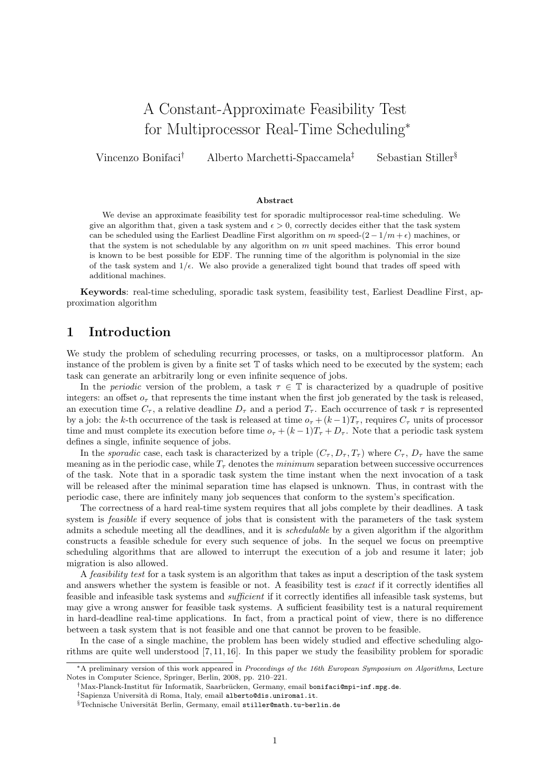# A Constant-Approximate Feasibility Test for Multiprocessor Real-Time Scheduling<sup>∗</sup>

Vincenzo Bonifaci<sup>†</sup> Alberto Marchetti-Spaccamela<sup>‡</sup> Sebastian Stiller<sup>§</sup>

#### Abstract

We devise an approximate feasibility test for sporadic multiprocessor real-time scheduling. We give an algorithm that, given a task system and  $\epsilon > 0$ , correctly decides either that the task system can be scheduled using the Earliest Deadline First algorithm on m speed- $(2 - 1/m + \epsilon)$  machines, or that the system is not schedulable by any algorithm on  $m$  unit speed machines. This error bound is known to be best possible for EDF. The running time of the algorithm is polynomial in the size of the task system and  $1/\epsilon$ . We also provide a generalized tight bound that trades off speed with additional machines.

Keywords: real-time scheduling, sporadic task system, feasibility test, Earliest Deadline First, approximation algorithm

## 1 Introduction

We study the problem of scheduling recurring processes, or tasks, on a multiprocessor platform. An instance of the problem is given by a finite set  $\mathbb T$  of tasks which need to be executed by the system; each task can generate an arbitrarily long or even infinite sequence of jobs.

In the *periodic* version of the problem, a task  $\tau \in \mathbb{T}$  is characterized by a quadruple of positive integers: an offset  $o<sub>\tau</sub>$  that represents the time instant when the first job generated by the task is released, an execution time  $C_{\tau}$ , a relative deadline  $D_{\tau}$  and a period  $T_{\tau}$ . Each occurrence of task  $\tau$  is represented by a job: the k-th occurrence of the task is released at time  $o_\tau + (k-1)T_\tau$ , requires  $C_\tau$  units of processor time and must complete its execution before time  $o_{\tau} + (k-1)T_{\tau} + D_{\tau}$ . Note that a periodic task system defines a single, infinite sequence of jobs.

In the *sporadic* case, each task is characterized by a triple  $(C_\tau, D_\tau, T_\tau)$  where  $C_\tau, D_\tau$  have the same meaning as in the periodic case, while  $T<sub>\tau</sub>$  denotes the *minimum* separation between successive occurrences of the task. Note that in a sporadic task system the time instant when the next invocation of a task will be released after the minimal separation time has elapsed is unknown. Thus, in contrast with the periodic case, there are infinitely many job sequences that conform to the system's specification.

The correctness of a hard real-time system requires that all jobs complete by their deadlines. A task system is *feasible* if every sequence of jobs that is consistent with the parameters of the task system admits a schedule meeting all the deadlines, and it is schedulable by a given algorithm if the algorithm constructs a feasible schedule for every such sequence of jobs. In the sequel we focus on preemptive scheduling algorithms that are allowed to interrupt the execution of a job and resume it later; job migration is also allowed.

A feasibility test for a task system is an algorithm that takes as input a description of the task system and answers whether the system is feasible or not. A feasibility test is *exact* if it correctly identifies all feasible and infeasible task systems and sufficient if it correctly identifies all infeasible task systems, but may give a wrong answer for feasible task systems. A sufficient feasibility test is a natural requirement in hard-deadline real-time applications. In fact, from a practical point of view, there is no difference between a task system that is not feasible and one that cannot be proven to be feasible.

In the case of a single machine, the problem has been widely studied and effective scheduling algorithms are quite well understood [7, 11, 16]. In this paper we study the feasibility problem for sporadic

<sup>∗</sup>A preliminary version of this work appeared in Proceedings of the 16th European Symposium on Algorithms, Lecture Notes in Computer Science, Springer, Berlin, 2008, pp. 210–221.

 $^{\dagger}$ Max-Planck-Institut für Informatik, Saarbrücken, Germany, email bonifaci@mpi-inf.mpg.de.

<sup>‡</sup>Sapienza Universit`a di Roma, Italy, email alberto@dis.uniroma1.it.

<sup>§</sup>Technische Universität Berlin, Germany, email stiller@math.tu-berlin.de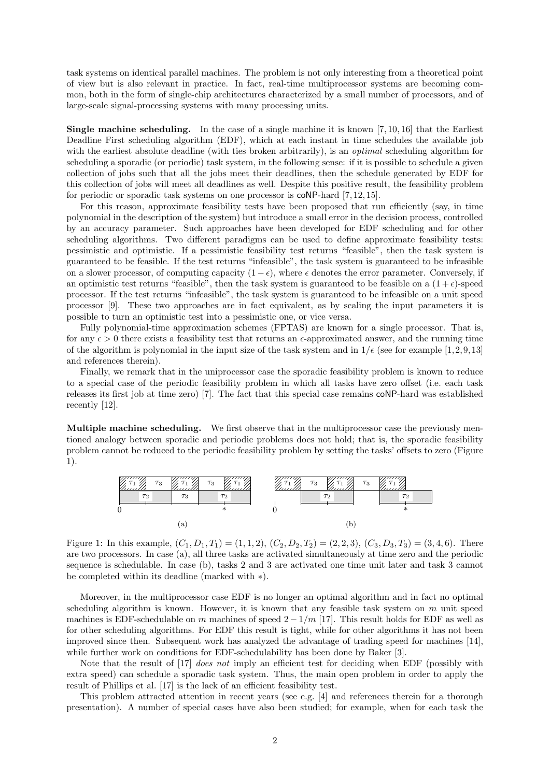task systems on identical parallel machines. The problem is not only interesting from a theoretical point of view but is also relevant in practice. In fact, real-time multiprocessor systems are becoming common, both in the form of single-chip architectures characterized by a small number of processors, and of large-scale signal-processing systems with many processing units.

Single machine scheduling. In the case of a single machine it is known [7, 10, 16] that the Earliest Deadline First scheduling algorithm (EDF), which at each instant in time schedules the available job with the earliest absolute deadline (with ties broken arbitrarily), is an *optimal* scheduling algorithm for scheduling a sporadic (or periodic) task system, in the following sense: if it is possible to schedule a given collection of jobs such that all the jobs meet their deadlines, then the schedule generated by EDF for this collection of jobs will meet all deadlines as well. Despite this positive result, the feasibility problem for periodic or sporadic task systems on one processor is coNP-hard [7, 12, 15].

For this reason, approximate feasibility tests have been proposed that run efficiently (say, in time polynomial in the description of the system) but introduce a small error in the decision process, controlled by an accuracy parameter. Such approaches have been developed for EDF scheduling and for other scheduling algorithms. Two different paradigms can be used to define approximate feasibility tests: pessimistic and optimistic. If a pessimistic feasibility test returns "feasible", then the task system is guaranteed to be feasible. If the test returns "infeasible", the task system is guaranteed to be infeasible on a slower processor, of computing capacity  $(1 - \epsilon)$ , where  $\epsilon$  denotes the error parameter. Conversely, if an optimistic test returns "feasible", then the task system is guaranteed to be feasible on a  $(1 + \epsilon)$ -speed processor. If the test returns "infeasible", the task system is guaranteed to be infeasible on a unit speed processor [9]. These two approaches are in fact equivalent, as by scaling the input parameters it is possible to turn an optimistic test into a pessimistic one, or vice versa.

Fully polynomial-time approximation schemes (FPTAS) are known for a single processor. That is, for any  $\epsilon > 0$  there exists a feasibility test that returns an  $\epsilon$ -approximated answer, and the running time of the algorithm is polynomial in the input size of the task system and in  $1/\epsilon$  (see for example [1,2,9,13] and references therein).

Finally, we remark that in the uniprocessor case the sporadic feasibility problem is known to reduce to a special case of the periodic feasibility problem in which all tasks have zero offset (i.e. each task releases its first job at time zero) [7]. The fact that this special case remains coNP-hard was established recently [12].

Multiple machine scheduling. We first observe that in the multiprocessor case the previously mentioned analogy between sporadic and periodic problems does not hold; that is, the sporadic feasibility problem cannot be reduced to the periodic feasibility problem by setting the tasks' offsets to zero (Figure 1).



Figure 1: In this example,  $(C_1, D_1, T_1) = (1, 1, 2), (C_2, D_2, T_2) = (2, 2, 3), (C_3, D_3, T_3) = (3, 4, 6).$  There are two processors. In case (a), all three tasks are activated simultaneously at time zero and the periodic sequence is schedulable. In case (b), tasks 2 and 3 are activated one time unit later and task 3 cannot be completed within its deadline (marked with ∗).

Moreover, in the multiprocessor case EDF is no longer an optimal algorithm and in fact no optimal scheduling algorithm is known. However, it is known that any feasible task system on  $m$  unit speed machines is EDF-schedulable on m machines of speed  $2 - 1/m$  [17]. This result holds for EDF as well as for other scheduling algorithms. For EDF this result is tight, while for other algorithms it has not been improved since then. Subsequent work has analyzed the advantage of trading speed for machines [14], while further work on conditions for EDF-schedulability has been done by Baker [3].

Note that the result of [17] *does not* imply an efficient test for deciding when EDF (possibly with extra speed) can schedule a sporadic task system. Thus, the main open problem in order to apply the result of Phillips et al. [17] is the lack of an efficient feasibility test.

This problem attracted attention in recent years (see e.g. [4] and references therein for a thorough presentation). A number of special cases have also been studied; for example, when for each task the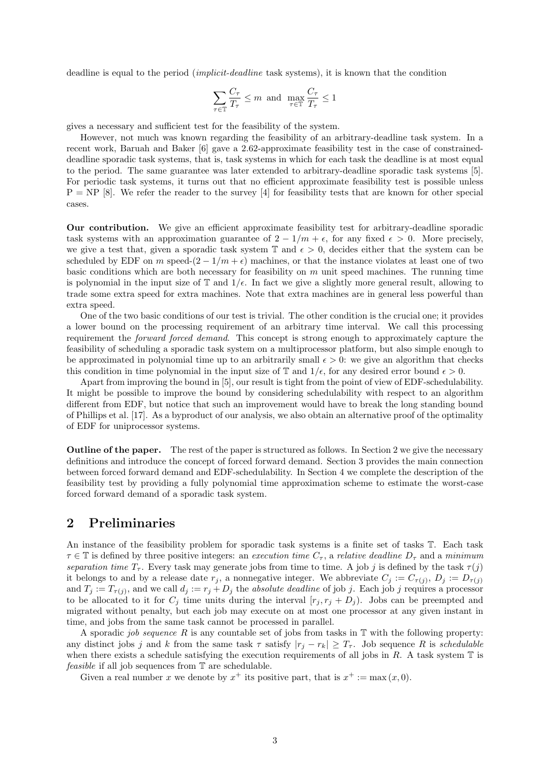deadline is equal to the period *(implicit-deadline* task systems), it is known that the condition

$$
\sum_{\tau \in \mathbb{T}} \frac{C_{\tau}}{T_{\tau}} \le m \text{ and } \max_{\tau \in \mathbb{T}} \frac{C_{\tau}}{T_{\tau}} \le 1
$$

gives a necessary and sufficient test for the feasibility of the system.

However, not much was known regarding the feasibility of an arbitrary-deadline task system. In a recent work, Baruah and Baker [6] gave a 2.62-approximate feasibility test in the case of constraineddeadline sporadic task systems, that is, task systems in which for each task the deadline is at most equal to the period. The same guarantee was later extended to arbitrary-deadline sporadic task systems [5]. For periodic task systems, it turns out that no efficient approximate feasibility test is possible unless  $P = NP \nvert 8$ . We refer the reader to the survey [4] for feasibility tests that are known for other special cases.

Our contribution. We give an efficient approximate feasibility test for arbitrary-deadline sporadic task systems with an approximation guarantee of  $2 - 1/m + \epsilon$ , for any fixed  $\epsilon > 0$ . More precisely, we give a test that, given a sporadic task system  $\mathbb T$  and  $\epsilon > 0$ , decides either that the system can be scheduled by EDF on m speed- $(2 - 1/m + \epsilon)$  machines, or that the instance violates at least one of two basic conditions which are both necessary for feasibility on  $m$  unit speed machines. The running time is polynomial in the input size of  $\mathbb T$  and  $1/\epsilon$ . In fact we give a slightly more general result, allowing to trade some extra speed for extra machines. Note that extra machines are in general less powerful than extra speed.

One of the two basic conditions of our test is trivial. The other condition is the crucial one; it provides a lower bound on the processing requirement of an arbitrary time interval. We call this processing requirement the forward forced demand. This concept is strong enough to approximately capture the feasibility of scheduling a sporadic task system on a multiprocessor platform, but also simple enough to be approximated in polynomial time up to an arbitrarily small  $\epsilon > 0$ : we give an algorithm that checks this condition in time polynomial in the input size of  $\mathbb T$  and  $1/\epsilon$ , for any desired error bound  $\epsilon > 0$ .

Apart from improving the bound in [5], our result is tight from the point of view of EDF-schedulability. It might be possible to improve the bound by considering schedulability with respect to an algorithm different from EDF, but notice that such an improvement would have to break the long standing bound of Phillips et al. [17]. As a byproduct of our analysis, we also obtain an alternative proof of the optimality of EDF for uniprocessor systems.

Outline of the paper. The rest of the paper is structured as follows. In Section 2 we give the necessary definitions and introduce the concept of forced forward demand. Section 3 provides the main connection between forced forward demand and EDF-schedulability. In Section 4 we complete the description of the feasibility test by providing a fully polynomial time approximation scheme to estimate the worst-case forced forward demand of a sporadic task system.

# 2 Preliminaries

An instance of the feasibility problem for sporadic task systems is a finite set of tasks T. Each task  $\tau \in \mathbb{T}$  is defined by three positive integers: an execution time  $C_{\tau}$ , a relative deadline  $D_{\tau}$  and a minimum separation time  $T_{\tau}$ . Every task may generate jobs from time to time. A job j is defined by the task  $\tau(j)$ it belongs to and by a release date  $r_j$ , a nonnegative integer. We abbreviate  $C_j := C_{\tau(j)}, D_j := D_{\tau(j)}$ and  $T_j := T_{\tau(j)}$ , and we call  $d_j := r_j + D_j$  the *absolute deadline* of job j. Each job j requires a processor to be allocated to it for  $C_j$  time units during the interval  $[r_j, r_j + D_j]$ . Jobs can be preempted and migrated without penalty, but each job may execute on at most one processor at any given instant in time, and jobs from the same task cannot be processed in parallel.

A sporadic job sequence R is any countable set of jobs from tasks in  $\mathbb T$  with the following property: any distinct jobs j and k from the same task  $\tau$  satisfy  $|r_i - r_k| > T_{\tau}$ . Job sequence R is schedulable when there exists a schedule satisfying the execution requirements of all jobs in  $R$ . A task system  $\mathbb T$  is feasible if all job sequences from T are schedulable.

Given a real number x we denote by  $x^+$  its positive part, that is  $x^+ := \max(x, 0)$ .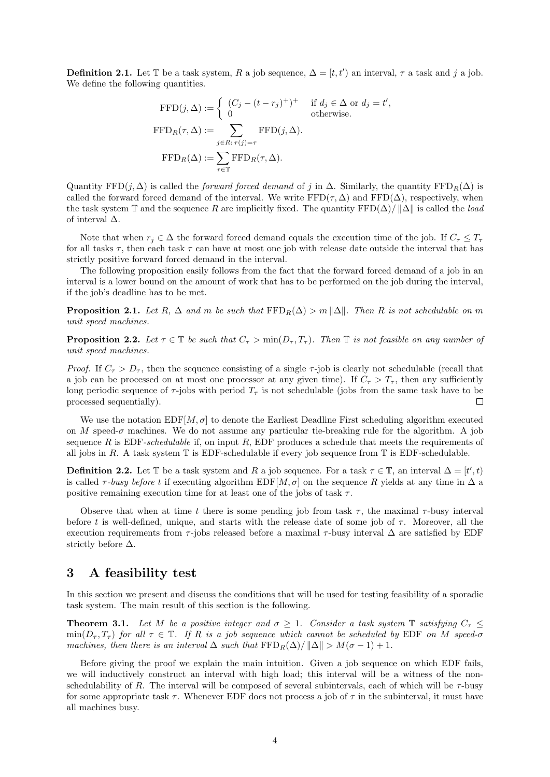**Definition 2.1.** Let  $\mathbb{T}$  be a task system, R a job sequence,  $\Delta = [t, t']$  an interval,  $\tau$  a task and j a job. We define the following quantities.

$$
\begin{aligned} \text{FFD}(j,\Delta) &:= \left\{ \begin{array}{ll} (C_j - (t - r_j)^+)^+ & \text{if } d_j \in \Delta \text{ or } d_j = t', \\ 0 & \text{otherwise.} \end{array} \right. \\ \text{FFD}_R(\tau,\Delta) &:= \sum_{j \in R: \tau(j) = \tau} \text{FFD}(j,\Delta). \\ \text{FFD}_R(\Delta) &:= \sum_{\tau \in \mathbb{T}} \text{FFD}_R(\tau,\Delta). \end{aligned}
$$

Quantity FFD(j,  $\Delta$ ) is called the *forward forced demand* of j in  $\Delta$ . Similarly, the quantity FFD<sub>R</sub>( $\Delta$ ) is called the forward forced demand of the interval. We write  $\text{FFD}(\tau, \Delta)$  and  $\text{FFD}(\Delta)$ , respectively, when the task system T and the sequence R are implicitly fixed. The quantity  $\text{FFD}(\Delta)/||\Delta||$  is called the *load* of interval ∆.

Note that when  $r_i \in \Delta$  the forward forced demand equals the execution time of the job. If  $C_\tau \leq T_\tau$ for all tasks  $\tau$ , then each task  $\tau$  can have at most one job with release date outside the interval that has strictly positive forward forced demand in the interval.

The following proposition easily follows from the fact that the forward forced demand of a job in an interval is a lower bound on the amount of work that has to be performed on the job during the interval, if the job's deadline has to be met.

**Proposition 2.1.** Let R,  $\Delta$  and m be such that  $\text{FFD}_R(\Delta) > m \|\Delta\|$ . Then R is not schedulable on m unit speed machines.

**Proposition 2.2.** Let  $\tau \in \mathbb{T}$  be such that  $C_{\tau} > \min(D_{\tau}, T_{\tau})$ . Then  $\mathbb{T}$  is not feasible on any number of unit speed machines.

*Proof.* If  $C_\tau > D_\tau$ , then the sequence consisting of a single  $\tau$ -job is clearly not schedulable (recall that a job can be processed on at most one processor at any given time). If  $C_\tau > T_\tau$ , then any sufficiently long periodic sequence of  $\tau$ -jobs with period  $T_{\tau}$  is not schedulable (jobs from the same task have to be processed sequentially).  $\Box$ 

We use the notation  $EDF[M, \sigma]$  to denote the Earliest Deadline First scheduling algorithm executed on M speed- $\sigma$  machines. We do not assume any particular tie-breaking rule for the algorithm. A job sequence R is  $EDF-scheduling$  if, on input R,  $EDF$  produces a schedule that meets the requirements of all jobs in R. A task system T is EDF-schedulable if every job sequence from T is EDF-schedulable.

**Definition 2.2.** Let  $\mathbb{T}$  be a task system and R a job sequence. For a task  $\tau \in \mathbb{T}$ , an interval  $\Delta = [t', t]$ is called  $\tau$ -busy before t if executing algorithm EDF[M,  $\sigma$ ] on the sequence R yields at any time in  $\Delta$  a positive remaining execution time for at least one of the jobs of task  $\tau$ .

Observe that when at time t there is some pending job from task  $\tau$ , the maximal  $\tau$ -busy interval before t is well-defined, unique, and starts with the release date of some job of  $\tau$ . Moreover, all the execution requirements from  $\tau$ -jobs released before a maximal  $\tau$ -busy interval  $\Delta$  are satisfied by EDF strictly before  $\Delta$ .

## 3 A feasibility test

In this section we present and discuss the conditions that will be used for testing feasibility of a sporadic task system. The main result of this section is the following.

**Theorem 3.1.** Let M be a positive integer and  $\sigma > 1$ . Consider a task system  $\mathbb{T}$  satisfying  $C_{\tau}$   $\leq$  $\min(D_\tau, T_\tau)$  for all  $\tau \in \mathbb{T}$ . If R is a job sequence which cannot be scheduled by EDF on M speed- $\sigma$ machines, then there is an interval  $\Delta$  such that  $\operatorname{FFD}_R(\Delta)/||\Delta|| > M(\sigma - 1) + 1$ .

Before giving the proof we explain the main intuition. Given a job sequence on which EDF fails, we will inductively construct an interval with high load; this interval will be a witness of the nonschedulability of R. The interval will be composed of several subintervals, each of which will be  $\tau$ -busy for some appropriate task  $\tau$ . Whenever EDF does not process a job of  $\tau$  in the subinterval, it must have all machines busy.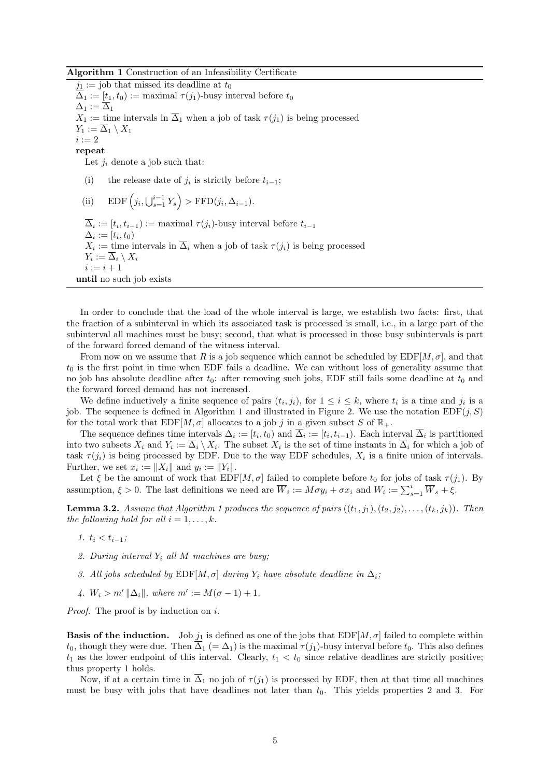Algorithm 1 Construction of an Infeasibility Certificate

 $j_1 :=$  job that missed its deadline at  $t_0$  $\overline{\Delta}_1 := [t_1, t_0) := \text{maximal } \tau(j_1)$ -busy interval before  $t_0$  $\Delta_1 := \overline{\Delta}_1$  $X_1 :=$  time intervals in  $\overline{\Delta}_1$  when a job of task  $\tau(j_1)$  is being processed  $Y_1 := \overline{\Delta}_1 \setminus X_1$  $i := 2$ repeat Let  $i_i$  denote a job such that: (i) the release date of  $j_i$  is strictly before  $t_{i-1}$ ; (ii) EDF  $(j_i, \bigcup_{s=1}^{i-1} Y_s)$  > FFD $(j_i, \Delta_{i-1})$ .  $\overline{\Delta}_i := [t_i, t_{i-1}) := \text{maximal } \tau(j_i)$ -busy interval before  $t_{i-1}$ 

 $\Delta_i := [t_i, t_0)$  $X_i :=$  time intervals in  $\Delta_i$  when a job of task  $\tau(j_i)$  is being processed  $Y_i := \Delta_i \setminus X_i$  $i := i + 1$ until no such job exists

In order to conclude that the load of the whole interval is large, we establish two facts: first, that the fraction of a subinterval in which its associated task is processed is small, i.e., in a large part of the subinterval all machines must be busy; second, that what is processed in those busy subintervals is part of the forward forced demand of the witness interval.

From now on we assume that R is a job sequence which cannot be scheduled by  $EDF[M, \sigma]$ , and that  $t_0$  is the first point in time when EDF fails a deadline. We can without loss of generality assume that no job has absolute deadline after  $t_0$ : after removing such jobs, EDF still fails some deadline at  $t_0$  and the forward forced demand has not increased.

We define inductively a finite sequence of pairs  $(t_i, j_i)$ , for  $1 \le i \le k$ , where  $t_i$  is a time and  $j_i$  is a job. The sequence is defined in Algorithm 1 and illustrated in Figure 2. We use the notation  $EDF(j, S)$ for the total work that EDF[M,  $\sigma$ ] allocates to a job j in a given subset S of  $\mathbb{R}_+$ .

The sequence defines time intervals  $\Delta_i := [t_i, t_0)$  and  $\Delta_i := [t_i, t_{i-1})$ . Each interval  $\Delta_i$  is partitioned into two subsets  $X_i$  and  $Y_i := \Delta_i \setminus X_i$ . The subset  $X_i$  is the set of time instants in  $\Delta_i$  for which a job of task  $\tau(j_i)$  is being processed by EDF. Due to the way EDF schedules,  $X_i$  is a finite union of intervals. Further, we set  $x_i := ||X_i||$  and  $y_i := ||Y_i||$ .

Let  $\xi$  be the amount of work that  $EDF[M, \sigma]$  failed to complete before  $t_0$  for jobs of task  $\tau(j_1)$ . By assumption,  $\xi > 0$ . The last definitions we need are  $\overline{W}_i := M \sigma y_i + \sigma x_i$  and  $W_i := \sum_{s=1}^i \overline{W}_s + \xi$ .

**Lemma 3.2.** Assume that Algorithm 1 produces the sequence of pairs  $((t_1, j_1), (t_2, j_2), \ldots, (t_k, j_k))$ . Then the following hold for all  $i = 1, \ldots, k$ .

- 1.  $t_i < t_{i-1}$ ;
- 2. During interval  $Y_i$  all M machines are busy;
- 3. All jobs scheduled by  $\text{EDF}[M, \sigma]$  during  $Y_i$  have absolute deadline in  $\Delta_i$ ;
- 4.  $W_i > m' \|\Delta_i\|$ , where  $m' := M(\sigma 1) + 1$ .

Proof. The proof is by induction on i.

**Basis of the induction.** Job  $j_1$  is defined as one of the jobs that  $EDF[M, \sigma]$  failed to complete within  $t_0$ , though they were due. Then  $\overline{\Delta}_1$  (=  $\Delta_1$ ) is the maximal  $\tau(j_1)$ -busy interval before  $t_0$ . This also defines  $t_1$  as the lower endpoint of this interval. Clearly,  $t_1 < t_0$  since relative deadlines are strictly positive; thus property 1 holds.

Now, if at a certain time in  $\overline{\Delta}_1$  no job of  $\tau(j_1)$  is processed by EDF, then at that time all machines must be busy with jobs that have deadlines not later than  $t_0$ . This yields properties 2 and 3. For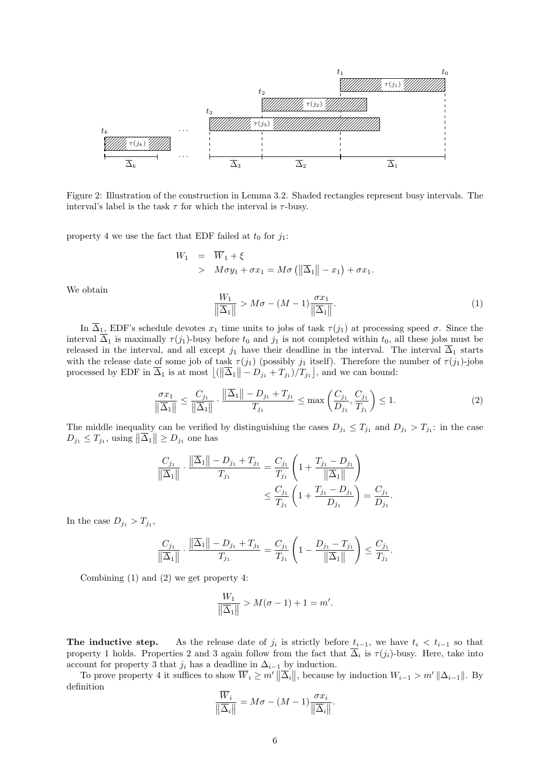

Figure 2: Illustration of the construction in Lemma 3.2. Shaded rectangles represent busy intervals. The interval's label is the task  $\tau$  for which the interval is  $\tau$ -busy.

property 4 we use the fact that EDF failed at  $t_0$  for  $j_1$ :

$$
W_1 = \overline{W}_1 + \xi
$$
  
> 
$$
M\sigma y_1 + \sigma x_1 = M\sigma \left( \left\| \overline{\Delta}_1 \right\| - x_1 \right) + \sigma x_1.
$$

We obtain

$$
\frac{W_1}{\|\overline{\Delta}_1\|} > M\sigma - (M-1)\frac{\sigma x_1}{\|\overline{\Delta}_1\|}.
$$
\n(1)

In  $\overline{\Delta}_1$ , EDF's schedule devotes  $x_1$  time units to jobs of task  $\tau(j_1)$  at processing speed  $\sigma$ . Since the interval  $\overline{\Delta}_1$  is maximally  $\tau(j_1)$ -busy before  $t_0$  and  $j_1$  is not completed within  $t_0$ , all these jobs must be released in the interval, and all except  $j_1$  have their deadline in the interval. The interval  $\overline{\Delta}_1$  starts with the release date of some job of task  $\tau(j_1)$  (possibly j<sub>1</sub> itself). Therefore the number of  $\tau(j_1)$ -jobs processed by EDF in  $\overline{\Delta}_1$  is at most  $\lfloor (||\overline{\Delta}_1|| - D_{j_1} + T_{j_1})/T_{j_1} \rfloor$ , and we can bound:

$$
\frac{\sigma x_1}{\|\overline{\Delta}_1\|} \le \frac{C_{j_1}}{\|\overline{\Delta}_1\|} \cdot \frac{\|\overline{\Delta}_1\| - D_{j_1} + T_{j_1}}{T_{j_1}} \le \max\left(\frac{C_{j_1}}{D_{j_1}}, \frac{C_{j_1}}{T_{j_1}}\right) \le 1. \tag{2}
$$

The middle inequality can be verified by distinguishing the cases  $D_{j_1} \le T_{j_1}$  and  $D_{j_1} > T_{j_1}$ : in the case  $D_{j_1} \leq T_{j_1}$ , using  $\left\| \overline{\Delta}_1 \right\| \geq D_{j_1}$  one has

$$
\frac{C_{j_1}}{\|\overline{\Delta}_1\|} \cdot \frac{\|\overline{\Delta}_1\| - D_{j_1} + T_{j_1}}{T_{j_1}} = \frac{C_{j_1}}{T_{j_1}} \left(1 + \frac{T_{j_1} - D_{j_1}}{\|\overline{\Delta}_1\|}\right)
$$

$$
\leq \frac{C_{j_1}}{T_{j_1}} \left(1 + \frac{T_{j_1} - D_{j_1}}{D_{j_1}}\right) = \frac{C_{j_1}}{D_{j_1}}.
$$

In the case  $D_{j_1} > T_{j_1}$ ,

$$
\frac{C_{j_1}}{\|\overline{\Delta}_1\|} \cdot \frac{\|\overline{\Delta}_1\| - D_{j_1} + T_{j_1}}{T_{j_1}} = \frac{C_{j_1}}{T_{j_1}} \left(1 - \frac{D_{j_1} - T_{j_1}}{\|\overline{\Delta}_1\|}\right) \le \frac{C_{j_1}}{T_{j_1}}.
$$

Combining (1) and (2) we get property 4:

$$
\frac{W_1}{\|\overline{\Delta}_1\|} > M(\sigma - 1) + 1 = m'.
$$

The inductive step. As the release date of  $j_i$  is strictly before  $t_{i-1}$ , we have  $t_i < t_{i-1}$  so that property 1 holds. Properties 2 and 3 again follow from the fact that  $\overline{\Delta}_i$  is  $\tau(j_i)$ -busy. Here, take into account for property 3 that  $j_i$  has a deadline in  $\Delta_{i-1}$  by induction.

To prove property 4 it suffices to show  $\overline{W}_i \geq m' \|\overline{\Delta}_i\|$ , because by induction  $W_{i-1} > m' \|\Delta_{i-1}\|$ . By definition

$$
\frac{\overline{W}_i}{\|\overline{\Delta}_i\|} = M\sigma - (M-1)\frac{\sigma x_i}{\|\overline{\Delta}_i\|}.
$$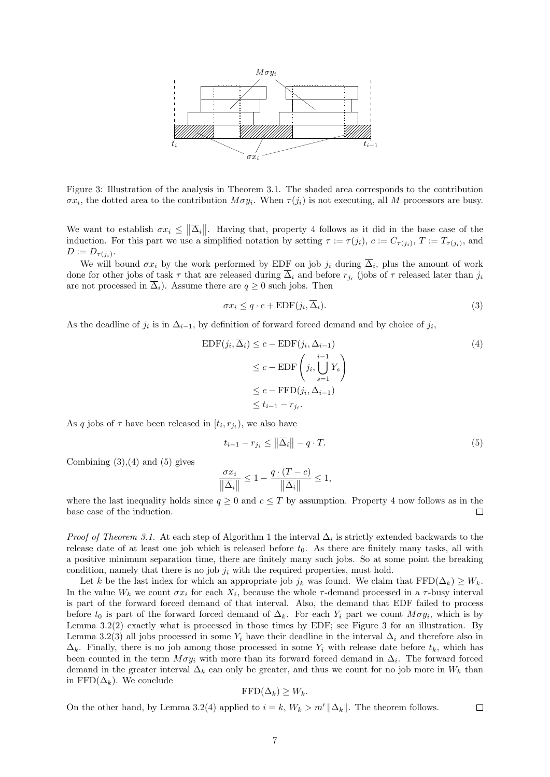

Figure 3: Illustration of the analysis in Theorem 3.1. The shaded area corresponds to the contribution  $\sigma x_i$ , the dotted area to the contribution  $M\sigma y_i$ . When  $\tau(j_i)$  is not executing, all M processors are busy.

We want to establish  $\sigma x_i \leq ||\overline{\Delta}_i||$ . Having that, property 4 follows as it did in the base case of the induction. For this part we use a simplified notation by setting  $\tau := \tau(j_i)$ ,  $c := C_{\tau(j_i)}$ ,  $T := T_{\tau(j_i)}$ , and  $D := D_{\tau(j_i)}$ .

We will bound  $\sigma x_i$  by the work performed by EDF on job  $j_i$  during  $\Delta_i$ , plus the amount of work done for other jobs of task  $\tau$  that are released during  $\overline{\Delta}_i$  and before  $r_{j_i}$  (jobs of  $\tau$  released later than  $j_i$ are not processed in  $\overline{\Delta}_i$ ). Assume there are  $q \geq 0$  such jobs. Then

$$
\sigma x_i \le q \cdot c + \text{EDF}(j_i, \overline{\Delta}_i). \tag{3}
$$

As the deadline of  $j_i$  is in  $\Delta_{i-1}$ , by definition of forward forced demand and by choice of  $j_i$ ,

$$
\begin{aligned} \text{EDF}(j_i, \overline{\Delta}_i) &\leq c - \text{EDF}(j_i, \Delta_{i-1}) \\ &\leq c - \text{EDF}\left(j_i, \bigcup_{s=1}^{i-1} Y_s\right) \\ &\leq c - \text{FFD}(j_i, \Delta_{i-1}) \\ &\leq t_{i-1} - r_{j_i} .\end{aligned} \tag{4}
$$

As q jobs of  $\tau$  have been released in  $[t_i, r_{j_i})$ , we also have

$$
t_{i-1} - r_{j_i} \le \left\| \overline{\Delta}_i \right\| - q \cdot T. \tag{5}
$$

Combining  $(3),(4)$  and  $(5)$  gives

$$
\frac{\sigma x_i}{\|\overline{\Delta}_i\|} \le 1 - \frac{q \cdot (T - c)}{\|\overline{\Delta}_i\|} \le 1,
$$

where the last inequality holds since  $q \ge 0$  and  $c \le T$  by assumption. Property 4 now follows as in the base case of the induction.  $\Box$ 

*Proof of Theorem 3.1.* At each step of Algorithm 1 the interval  $\Delta_i$  is strictly extended backwards to the release date of at least one job which is released before  $t_0$ . As there are finitely many tasks, all with a positive minimum separation time, there are finitely many such jobs. So at some point the breaking condition, namely that there is no job  $j_i$  with the required properties, must hold.

Let k be the last index for which an appropriate job  $j_k$  was found. We claim that  $\text{FFD}(\Delta_k) \geq W_k$ . In the value  $W_k$  we count  $\sigma x_i$  for each  $X_i$ , because the whole  $\tau$ -demand processed in a  $\tau$ -busy interval is part of the forward forced demand of that interval. Also, the demand that EDF failed to process before  $t_0$  is part of the forward forced demand of  $\Delta_k$ . For each  $Y_i$  part we count  $M\sigma y_i$ , which is by Lemma 3.2(2) exactly what is processed in those times by EDF; see Figure 3 for an illustration. By Lemma 3.2(3) all jobs processed in some  $Y_i$  have their deadline in the interval  $\Delta_i$  and therefore also in  $\Delta_k$ . Finally, there is no job among those processed in some  $Y_i$  with release date before  $t_k$ , which has been counted in the term  $M\sigma y_i$  with more than its forward forced demand in  $\Delta_i$ . The forward forced demand in the greater interval  $\Delta_k$  can only be greater, and thus we count for no job more in  $W_k$  than in FFD( $\Delta_k$ ). We conclude

$$
\text{FFD}(\Delta_k) \geq W_k.
$$

On the other hand, by Lemma 3.2(4) applied to  $i = k$ ,  $W_k > m' ||\Delta_k||$ . The theorem follows.  $\Box$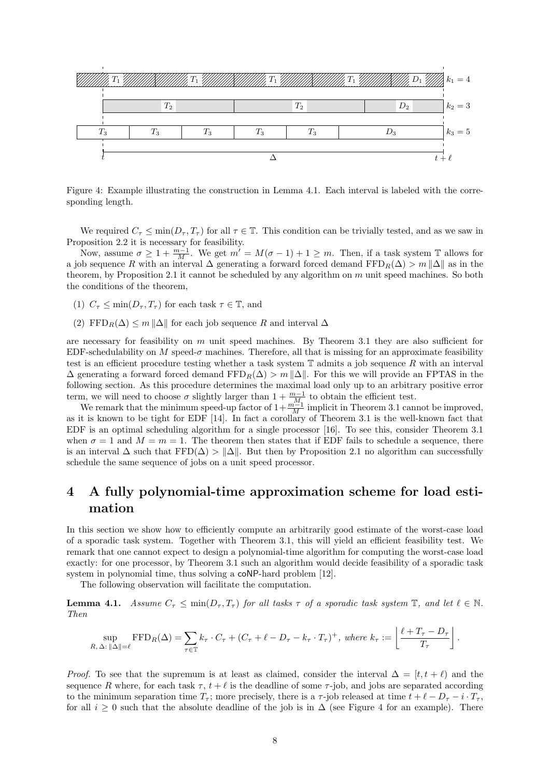

Figure 4: Example illustrating the construction in Lemma 4.1. Each interval is labeled with the corresponding length.

We required  $C_{\tau} \leq \min(D_{\tau}, T_{\tau})$  for all  $\tau \in \mathbb{T}$ . This condition can be trivially tested, and as we saw in Proposition 2.2 it is necessary for feasibility.

Now, assume  $\sigma \geq 1 + \frac{m-1}{M}$ . We get  $m' = M(\sigma - 1) + 1 \geq m$ . Then, if a task system T allows for a job sequence R with an interval  $\Delta$  generating a forward forced demand FFD<sub>R</sub>( $\Delta$ ) > m || $\Delta$ || as in the theorem, by Proposition 2.1 it cannot be scheduled by any algorithm on m unit speed machines. So both the conditions of the theorem,

- (1)  $C_{\tau} \leq \min(D_{\tau}, T_{\tau})$  for each task  $\tau \in \mathbb{T}$ , and
- (2) FFD<sub>R</sub>( $\Delta$ ) ≤ m || $\Delta$ || for each job sequence R and interval  $\Delta$

are necessary for feasibility on  $m$  unit speed machines. By Theorem 3.1 they are also sufficient for EDF-schedulability on M speed- $\sigma$  machines. Therefore, all that is missing for an approximate feasibility test is an efficient procedure testing whether a task system  $\mathbb T$  admits a job sequence  $R$  with an interval  $\Delta$  generating a forward forced demand FFD<sub>R</sub>( $\Delta$ ) > m || $\Delta$ ||. For this we will provide an FPTAS in the following section. As this procedure determines the maximal load only up to an arbitrary positive error term, we will need to choose  $\sigma$  slightly larger than  $1 + \frac{m-1}{M_1}$  to obtain the efficient test.

We remark that the minimum speed-up factor of  $1+\frac{m-1}{M}$  implicit in Theorem 3.1 cannot be improved, as it is known to be tight for EDF  $[14]$ . In fact a corollary of Theorem 3.1 is the well-known fact that EDF is an optimal scheduling algorithm for a single processor [16]. To see this, consider Theorem 3.1 when  $\sigma = 1$  and  $M = m = 1$ . The theorem then states that if EDF fails to schedule a sequence, there is an interval  $\Delta$  such that FFD( $\Delta$ ) >  $\|\Delta\|$ . But then by Proposition 2.1 no algorithm can successfully schedule the same sequence of jobs on a unit speed processor.

# 4 A fully polynomial-time approximation scheme for load estimation

In this section we show how to efficiently compute an arbitrarily good estimate of the worst-case load of a sporadic task system. Together with Theorem 3.1, this will yield an efficient feasibility test. We remark that one cannot expect to design a polynomial-time algorithm for computing the worst-case load exactly: for one processor, by Theorem 3.1 such an algorithm would decide feasibility of a sporadic task system in polynomial time, thus solving a coNP-hard problem [12].

The following observation will facilitate the computation.

**Lemma 4.1.** Assume  $C_{\tau} \leq \min(D_{\tau}, T_{\tau})$  for all tasks  $\tau$  of a sporadic task system  $\mathbb{T}$ , and let  $\ell \in \mathbb{N}$ . Then

$$
\sup_{R,\,\Delta:\,\|\Delta\|=\ell} \mathrm{FFD}_R(\Delta) = \sum_{\tau\in\mathbb{T}} k_\tau \cdot C_\tau + (C_\tau + \ell - D_\tau - k_\tau \cdot T_\tau)^+, \text{ where } k_\tau := \left\lfloor \frac{\ell + T_\tau - D_\tau}{T_\tau} \right\rfloor.
$$

*Proof.* To see that the supremum is at least as claimed, consider the interval  $\Delta = [t, t + \ell)$  and the sequence R where, for each task  $\tau$ ,  $t + \ell$  is the deadline of some  $\tau$ -job, and jobs are separated according to the minimum separation time  $T_{\tau}$ ; more precisely, there is a  $\tau$ -job released at time  $t + \ell - D_{\tau} - i \cdot T_{\tau}$ , for all  $i \geq 0$  such that the absolute deadline of the job is in  $\Delta$  (see Figure 4 for an example). There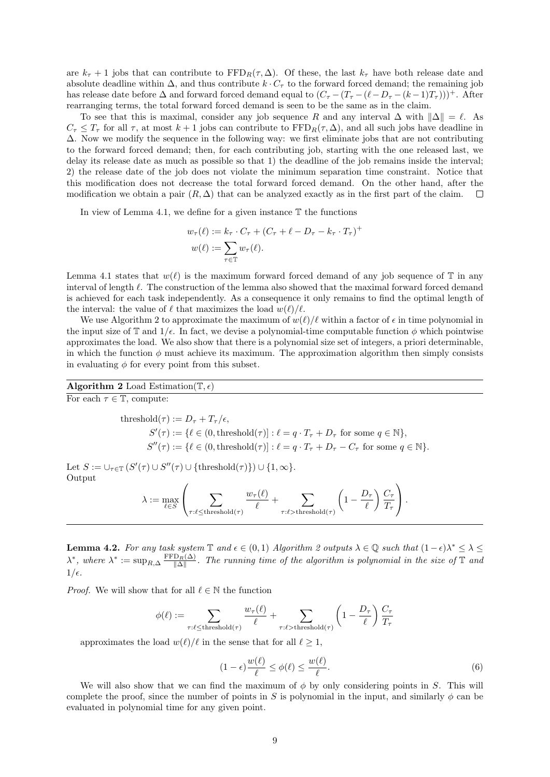are  $k_{\tau}$  + 1 jobs that can contribute to  $\text{FFD}_R(\tau, \Delta)$ . Of these, the last  $k_{\tau}$  have both release date and absolute deadline within  $\Delta$ , and thus contribute  $k \cdot C_{\tau}$  to the forward forced demand; the remaining job has release date before  $\Delta$  and forward forced demand equal to  $(C_{\tau} - (T_{\tau} -(\ell - D_{\tau} - (k-1)T_{\tau})))^{+}$ . After rearranging terms, the total forward forced demand is seen to be the same as in the claim.

To see that this is maximal, consider any job sequence R and any interval  $\Delta$  with  $\|\Delta\| = \ell$ . As  $C_{\tau} \leq T_{\tau}$  for all  $\tau$ , at most  $k + 1$  jobs can contribute to  $\text{FFD}_R(\tau, \Delta)$ , and all such jobs have deadline in ∆. Now we modify the sequence in the following way: we first eliminate jobs that are not contributing to the forward forced demand; then, for each contributing job, starting with the one released last, we delay its release date as much as possible so that 1) the deadline of the job remains inside the interval; 2) the release date of the job does not violate the minimum separation time constraint. Notice that this modification does not decrease the total forward forced demand. On the other hand, after the modification we obtain a pair  $(R, \Delta)$  that can be analyzed exactly as in the first part of the claim.  $\Box$ 

In view of Lemma 4.1, we define for a given instance  $\mathbb T$  the functions

$$
w_{\tau}(\ell) := k_{\tau} \cdot C_{\tau} + (C_{\tau} + \ell - D_{\tau} - k_{\tau} \cdot T_{\tau})^{+}
$$
  

$$
w(\ell) := \sum_{\tau \in \mathbb{T}} w_{\tau}(\ell).
$$

Lemma 4.1 states that  $w(\ell)$  is the maximum forward forced demand of any job sequence of  $\mathbb T$  in any interval of length  $\ell$ . The construction of the lemma also showed that the maximal forward forced demand is achieved for each task independently. As a consequence it only remains to find the optimal length of the interval: the value of  $\ell$  that maximizes the load  $w(\ell)/\ell$ .

We use Algorithm 2 to approximate the maximum of  $w(\ell)/\ell$  within a factor of  $\epsilon$  in time polynomial in the input size of  $\mathbb T$  and  $1/\epsilon$ . In fact, we devise a polynomial-time computable function  $\phi$  which pointwise approximates the load. We also show that there is a polynomial size set of integers, a priori determinable, in which the function  $\phi$  must achieve its maximum. The approximation algorithm then simply consists in evaluating  $\phi$  for every point from this subset.

Algorithm 2 Load Estimation( $\mathbb{T}, \epsilon$ )

For each  $\tau \in \mathbb{T}$ , compute:

threshold
$$
(\tau) := D_{\tau} + T_{\tau}/\epsilon
$$
,  
\n $S'(\tau) := \{ \ell \in (0, \text{threshold}(\tau)] : \ell = q \cdot T_{\tau} + D_{\tau} \text{ for some } q \in \mathbb{N} \},$   
\n $S''(\tau) := \{ \ell \in (0, \text{threshold}(\tau)] : \ell = q \cdot T_{\tau} + D_{\tau} - C_{\tau} \text{ for some } q \in \mathbb{N} \}.$ 

Let  $S := \bigcup_{\tau \in \mathbb{T}} (S'(\tau) \cup S''(\tau) \cup \{\text{threshold}(\tau)\}) \cup \{1, \infty\}.$ Output

$$
\lambda := \max_{\ell \in S} \left( \sum_{\tau : \ell \le \text{threshold}(\tau)} \frac{w_{\tau}(\ell)}{\ell} + \sum_{\tau : \ell > \text{threshold}(\tau)} \left( 1 - \frac{D_{\tau}}{\ell} \right) \frac{C_{\tau}}{T_{\tau}} \right).
$$

**Lemma 4.2.** For any task system  $\mathbb{T}$  and  $\epsilon \in (0,1)$  Algorithm 2 outputs  $\lambda \in \mathbb{Q}$  such that  $(1-\epsilon)\lambda^* \leq \lambda \leq$  $\lambda^*$ , where  $\lambda^* := \sup_{R,\Delta} \frac{\text{FFD}_R(\Delta)}{\|\Delta\|}$ . The running time of the algorithm is polynomial in the size of  $\mathbb T$  and  $1/\epsilon$ .

*Proof.* We will show that for all  $\ell \in \mathbb{N}$  the function

$$
\phi(\ell) := \sum_{\tau : \ell \leq \text{threshold}(\tau)} \frac{w_{\tau}(\ell)}{\ell} + \sum_{\tau : \ell > \text{threshold}(\tau)} \left(1 - \frac{D_{\tau}}{\ell}\right) \frac{C_{\tau}}{T_{\tau}}
$$

approximates the load  $w(\ell)/\ell$  in the sense that for all  $\ell > 1$ ,

$$
(1 - \epsilon) \frac{w(\ell)}{\ell} \le \phi(\ell) \le \frac{w(\ell)}{\ell}.
$$
\n(6)

We will also show that we can find the maximum of  $\phi$  by only considering points in S. This will complete the proof, since the number of points in S is polynomial in the input, and similarly  $\phi$  can be evaluated in polynomial time for any given point.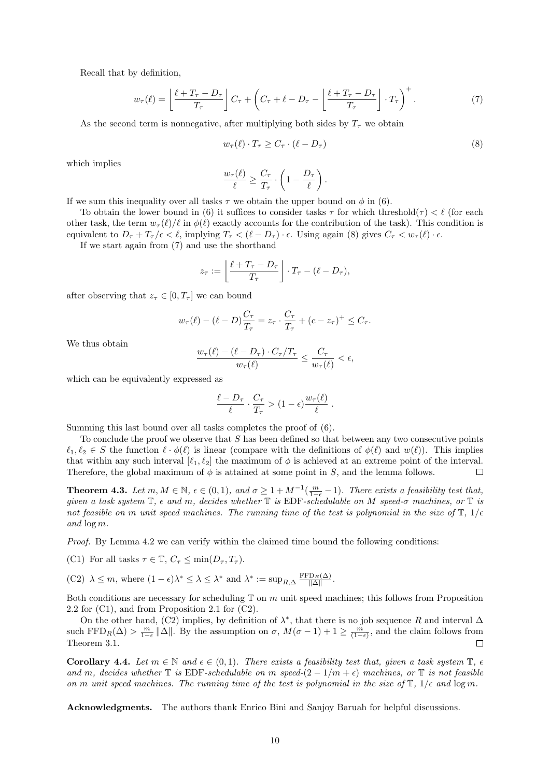Recall that by definition,

$$
w_{\tau}(\ell) = \left\lfloor \frac{\ell + T_{\tau} - D_{\tau}}{T_{\tau}} \right\rfloor C_{\tau} + \left( C_{\tau} + \ell - D_{\tau} - \left\lfloor \frac{\ell + T_{\tau} - D_{\tau}}{T_{\tau}} \right\rfloor \cdot T_{\tau} \right)^{+}.
$$
 (7)

As the second term is nonnegative, after multiplying both sides by  $T_{\tau}$  we obtain

$$
w_{\tau}(\ell) \cdot T_{\tau} \ge C_{\tau} \cdot (\ell - D_{\tau}) \tag{8}
$$

which implies

$$
\frac{w_{\tau}(\ell)}{\ell} \ge \frac{C_{\tau}}{T_{\tau}} \cdot \left(1 - \frac{D_{\tau}}{\ell}\right).
$$

If we sum this inequality over all tasks  $\tau$  we obtain the upper bound on  $\phi$  in (6).

To obtain the lower bound in (6) it suffices to consider tasks  $\tau$  for which threshold( $\tau$ ) <  $\ell$  (for each other task, the term  $w_{\tau}(\ell)/\ell$  in  $\phi(\ell)$  exactly accounts for the contribution of the task). This condition is equivalent to  $D_{\tau} + T_{\tau}/\epsilon < \ell$ , implying  $T_{\tau} < (\ell - D_{\tau}) \cdot \epsilon$ . Using again (8) gives  $C_{\tau} < w_{\tau}(\ell) \cdot \epsilon$ .

If we start again from (7) and use the shorthand

$$
z_{\tau} := \left\lfloor \frac{\ell + T_{\tau} - D_{\tau}}{T_{\tau}} \right\rfloor \cdot T_{\tau} - (\ell - D_{\tau}),
$$

after observing that  $z_{\tau} \in [0, T_{\tau}]$  we can bound

$$
w_{\tau}(\ell) - (\ell - D) \frac{C_{\tau}}{T_{\tau}} = z_{\tau} \cdot \frac{C_{\tau}}{T_{\tau}} + (c - z_{\tau})^{+} \leq C_{\tau}.
$$

We thus obtain

$$
\frac{w_{\tau}(\ell) - (\ell - D_{\tau}) \cdot C_{\tau}/T_{\tau}}{w_{\tau}(\ell)} \leq \frac{C_{\tau}}{w_{\tau}(\ell)} < \epsilon,
$$

which can be equivalently expressed as

$$
\frac{\ell - D_{\tau}}{\ell} \cdot \frac{C_{\tau}}{T_{\tau}} > (1 - \epsilon) \frac{w_{\tau}(\ell)}{\ell} .
$$

Summing this last bound over all tasks completes the proof of (6).

To conclude the proof we observe that S has been defined so that between any two consecutive points  $\ell_1, \ell_2 \in S$  the function  $\ell \cdot \phi(\ell)$  is linear (compare with the definitions of  $\phi(\ell)$  and  $w(\ell)$ ). This implies that within any such interval  $[\ell_1, \ell_2]$  the maximum of  $\phi$  is achieved at an extreme point of the interval. Therefore, the global maximum of  $\phi$  is attained at some point in S, and the lemma follows.  $\Box$ 

**Theorem 4.3.** Let  $m, M \in \mathbb{N}$ ,  $\epsilon \in (0, 1)$ , and  $\sigma \geq 1 + M^{-1}(\frac{m}{1-\epsilon} - 1)$ . There exists a feasibility test that, given a task system  $\mathbb{T}$ ,  $\epsilon$  and m, decides whether  $\mathbb{T}$  is EDF-schedulable on M speed- $\sigma$  machines, or  $\mathbb{T}$  is not feasible on m unit speed machines. The running time of the test is polynomial in the size of  $\mathbb{T}$ ,  $1/\epsilon$ and log m.

Proof. By Lemma 4.2 we can verify within the claimed time bound the following conditions:

- (C1) For all tasks  $\tau \in \mathbb{T}$ ,  $C_{\tau} \leq \min(D_{\tau}, T_{\tau})$ .
- (C2)  $\lambda \leq m$ , where  $(1 \epsilon)\lambda^* \leq \lambda \leq \lambda^*$  and  $\lambda^* := \sup_{R,\Delta} \frac{\text{FFD}_R(\Delta)}{\|\Delta\|}$ .

Both conditions are necessary for scheduling  $\mathbb T$  on  $m$  unit speed machines; this follows from Proposition 2.2 for (C1), and from Proposition 2.1 for (C2).

On the other hand, (C2) implies, by definition of  $\lambda^*$ , that there is no job sequence R and interval  $\Delta$ such  $\text{FFD}_R(\Delta) > \frac{m}{1-\epsilon} \|\Delta\|$ . By the assumption on  $\sigma$ ,  $M(\sigma-1)+1 \geq \frac{m}{(1-\epsilon)}$ , and the claim follows from Theorem 3.1.  $\Box$ 

Corollary 4.4. Let  $m \in \mathbb{N}$  and  $\epsilon \in (0,1)$ . There exists a feasibility test that, given a task system  $\mathbb{T}$ ,  $\epsilon$ and m, decides whether  $\mathbb T$  is EDF-schedulable on m speed- $(2-1/m+\epsilon)$  machines, or  $\mathbb T$  is not feasible on m unit speed machines. The running time of the test is polynomial in the size of  $\mathbb{T}$ ,  $1/\epsilon$  and  $\log m$ .

Acknowledgments. The authors thank Enrico Bini and Sanjoy Baruah for helpful discussions.